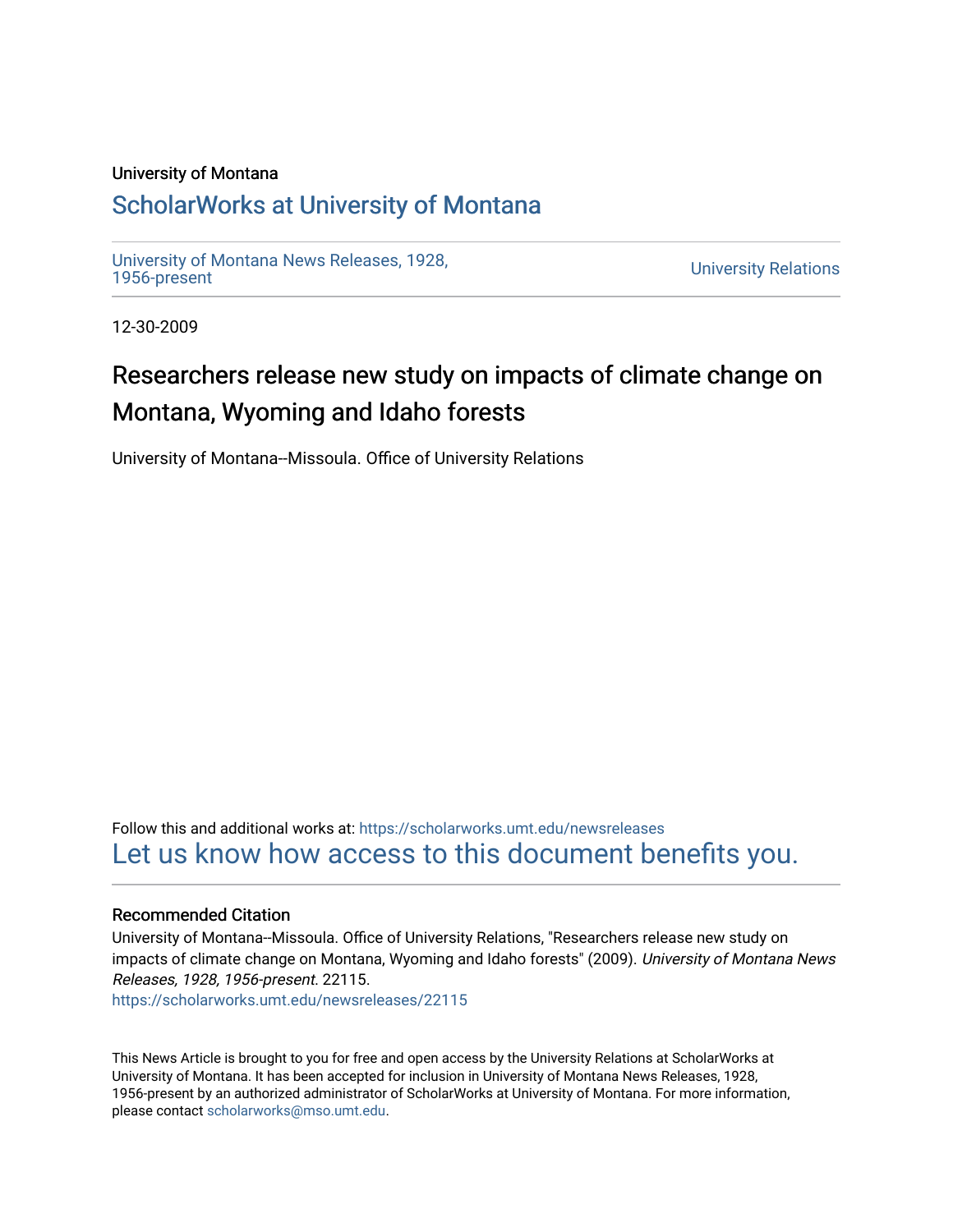#### University of Montana

### [ScholarWorks at University of Montana](https://scholarworks.umt.edu/)

[University of Montana News Releases, 1928,](https://scholarworks.umt.edu/newsreleases) 

**University Relations** 

12-30-2009

# Researchers release new study on impacts of climate change on Montana, Wyoming and Idaho forests

University of Montana--Missoula. Office of University Relations

Follow this and additional works at: [https://scholarworks.umt.edu/newsreleases](https://scholarworks.umt.edu/newsreleases?utm_source=scholarworks.umt.edu%2Fnewsreleases%2F22115&utm_medium=PDF&utm_campaign=PDFCoverPages) [Let us know how access to this document benefits you.](https://goo.gl/forms/s2rGfXOLzz71qgsB2) 

#### Recommended Citation

University of Montana--Missoula. Office of University Relations, "Researchers release new study on impacts of climate change on Montana, Wyoming and Idaho forests" (2009). University of Montana News Releases, 1928, 1956-present. 22115.

[https://scholarworks.umt.edu/newsreleases/22115](https://scholarworks.umt.edu/newsreleases/22115?utm_source=scholarworks.umt.edu%2Fnewsreleases%2F22115&utm_medium=PDF&utm_campaign=PDFCoverPages) 

This News Article is brought to you for free and open access by the University Relations at ScholarWorks at University of Montana. It has been accepted for inclusion in University of Montana News Releases, 1928, 1956-present by an authorized administrator of ScholarWorks at University of Montana. For more information, please contact [scholarworks@mso.umt.edu.](mailto:scholarworks@mso.umt.edu)